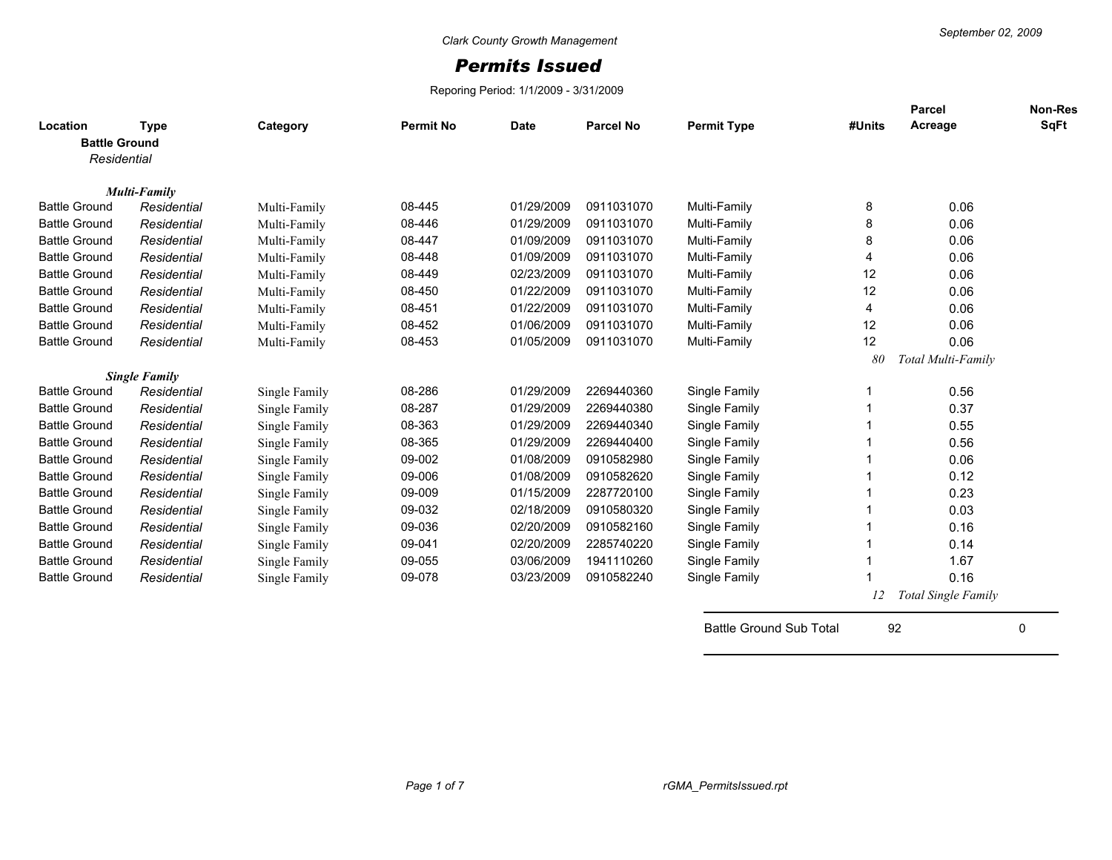## *Permits Issued*

Reporing Period: 1/1/2009 - 3/31/2009

| Location             | <b>Type</b>          | Category      | <b>Permit No</b> | <b>Date</b> | <b>Parcel No</b> | <b>Permit Type</b>             | #Units | <b>Parcel</b><br>Acreage   | <b>Non-Res</b><br>SqFt |
|----------------------|----------------------|---------------|------------------|-------------|------------------|--------------------------------|--------|----------------------------|------------------------|
| <b>Battle Ground</b> |                      |               |                  |             |                  |                                |        |                            |                        |
| Residential          |                      |               |                  |             |                  |                                |        |                            |                        |
|                      | <b>Multi-Family</b>  |               |                  |             |                  |                                |        |                            |                        |
| <b>Battle Ground</b> | Residential          | Multi-Family  | 08-445           | 01/29/2009  | 0911031070       | Multi-Family                   | 8      | 0.06                       |                        |
| <b>Battle Ground</b> | Residential          | Multi-Family  | 08-446           | 01/29/2009  | 0911031070       | Multi-Family                   | 8      | 0.06                       |                        |
| <b>Battle Ground</b> | Residential          | Multi-Family  | 08-447           | 01/09/2009  | 0911031070       | Multi-Family                   | 8      | 0.06                       |                        |
| <b>Battle Ground</b> | Residential          | Multi-Family  | 08-448           | 01/09/2009  | 0911031070       | Multi-Family                   | 4      | 0.06                       |                        |
| <b>Battle Ground</b> | Residential          | Multi-Family  | 08-449           | 02/23/2009  | 0911031070       | Multi-Family                   | 12     | 0.06                       |                        |
| <b>Battle Ground</b> | Residential          | Multi-Family  | 08-450           | 01/22/2009  | 0911031070       | Multi-Family                   | 12     | 0.06                       |                        |
| <b>Battle Ground</b> | Residential          | Multi-Family  | 08-451           | 01/22/2009  | 0911031070       | Multi-Family                   | 4      | 0.06                       |                        |
| <b>Battle Ground</b> | Residential          | Multi-Family  | 08-452           | 01/06/2009  | 0911031070       | Multi-Family                   | 12     | 0.06                       |                        |
| <b>Battle Ground</b> | Residential          | Multi-Family  | 08-453           | 01/05/2009  | 0911031070       | Multi-Family                   | 12     | 0.06                       |                        |
|                      |                      |               |                  |             |                  |                                | 80     | Total Multi-Family         |                        |
|                      | <b>Single Family</b> |               |                  |             |                  |                                |        |                            |                        |
| <b>Battle Ground</b> | Residential          | Single Family | 08-286           | 01/29/2009  | 2269440360       | Single Family                  |        | 0.56                       |                        |
| <b>Battle Ground</b> | Residential          | Single Family | 08-287           | 01/29/2009  | 2269440380       | Single Family                  |        | 0.37                       |                        |
| <b>Battle Ground</b> | Residential          | Single Family | 08-363           | 01/29/2009  | 2269440340       | Single Family                  |        | 0.55                       |                        |
| <b>Battle Ground</b> | Residential          | Single Family | 08-365           | 01/29/2009  | 2269440400       | Single Family                  |        | 0.56                       |                        |
| <b>Battle Ground</b> | Residential          | Single Family | 09-002           | 01/08/2009  | 0910582980       | Single Family                  |        | 0.06                       |                        |
| <b>Battle Ground</b> | Residential          | Single Family | 09-006           | 01/08/2009  | 0910582620       | Single Family                  |        | 0.12                       |                        |
| <b>Battle Ground</b> | Residential          | Single Family | 09-009           | 01/15/2009  | 2287720100       | Single Family                  |        | 0.23                       |                        |
| <b>Battle Ground</b> | Residential          | Single Family | 09-032           | 02/18/2009  | 0910580320       | Single Family                  |        | 0.03                       |                        |
| <b>Battle Ground</b> | Residential          | Single Family | 09-036           | 02/20/2009  | 0910582160       | Single Family                  |        | 0.16                       |                        |
| <b>Battle Ground</b> | Residential          | Single Family | 09-041           | 02/20/2009  | 2285740220       | Single Family                  |        | 0.14                       |                        |
| <b>Battle Ground</b> | Residential          | Single Family | 09-055           | 03/06/2009  | 1941110260       | Single Family                  |        | 1.67                       |                        |
| <b>Battle Ground</b> | Residential          | Single Family | 09-078           | 03/23/2009  | 0910582240       | Single Family                  |        | 0.16                       |                        |
|                      |                      |               |                  |             |                  |                                | 12     | <b>Total Single Family</b> |                        |
|                      |                      |               |                  |             |                  | <b>Battle Ground Sub Total</b> | 92     |                            | 0                      |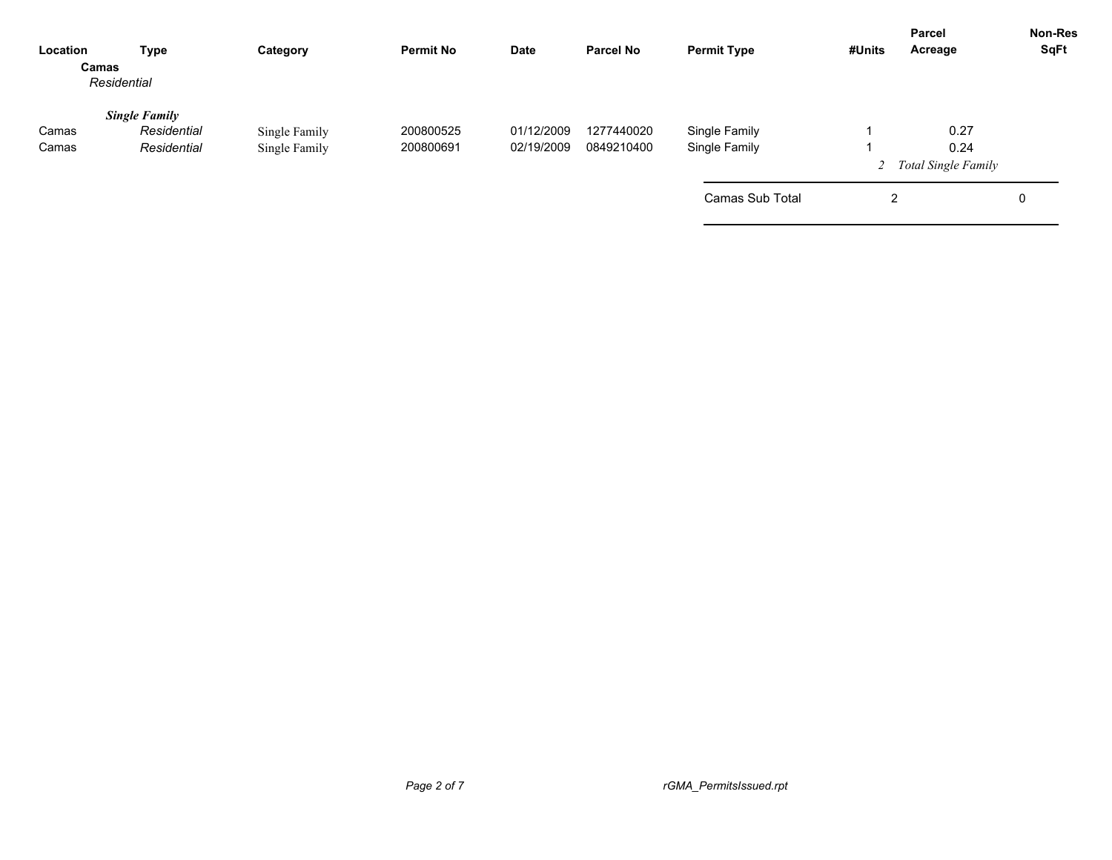| Type                                               | Category                       | <b>Permit No</b>       | <b>Date</b>              | <b>Parcel No</b>         | <b>Permit Type</b>             | #Units | Acreage      | <b>Non-Res</b><br>SqFt                      |
|----------------------------------------------------|--------------------------------|------------------------|--------------------------|--------------------------|--------------------------------|--------|--------------|---------------------------------------------|
| <b>Single Family</b><br>Residential<br>Residential | Single Family<br>Single Family | 200800525<br>200800691 | 01/12/2009<br>02/19/2009 | 1277440020<br>0849210400 | Single Family<br>Single Family |        | 0.27<br>0.24 |                                             |
|                                                    |                                |                        |                          |                          | Camas Sub Total                |        |              | 0                                           |
|                                                    | Camas<br>Residential           |                        |                          |                          |                                |        |              | <b>Parcel</b><br>2 Total Single Family<br>2 |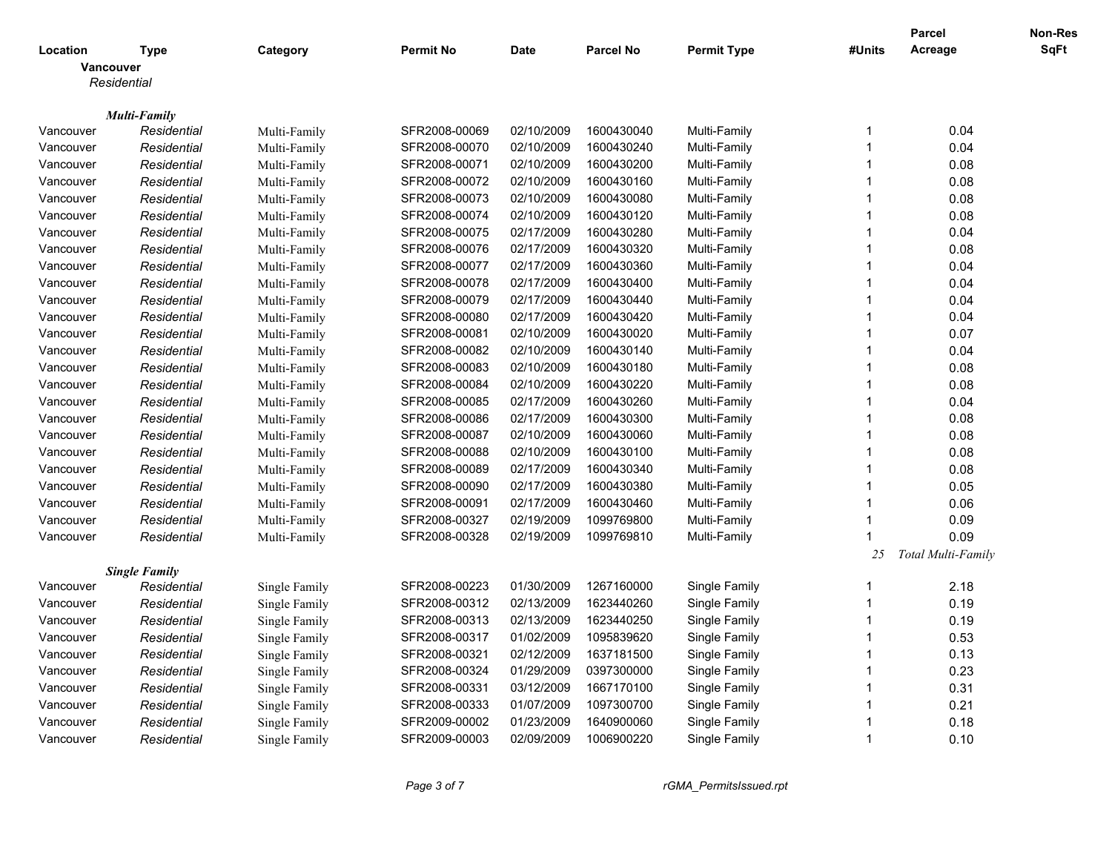|           |                      |               |                  |            |                  |                    |                | Parcel             | Non-Res     |
|-----------|----------------------|---------------|------------------|------------|------------------|--------------------|----------------|--------------------|-------------|
| Location  | <b>Type</b>          | Category      | <b>Permit No</b> | Date       | <b>Parcel No</b> | <b>Permit Type</b> | #Units         | Acreage            | <b>SqFt</b> |
|           | Vancouver            |               |                  |            |                  |                    |                |                    |             |
|           | Residential          |               |                  |            |                  |                    |                |                    |             |
|           |                      |               |                  |            |                  |                    |                |                    |             |
|           | <b>Multi-Family</b>  |               |                  |            |                  |                    |                |                    |             |
| Vancouver | Residential          | Multi-Family  | SFR2008-00069    | 02/10/2009 | 1600430040       | Multi-Family       | -1             | 0.04               |             |
| Vancouver | Residential          | Multi-Family  | SFR2008-00070    | 02/10/2009 | 1600430240       | Multi-Family       | -1             | 0.04               |             |
| Vancouver | Residential          | Multi-Family  | SFR2008-00071    | 02/10/2009 | 1600430200       | Multi-Family       | $\overline{1}$ | 0.08               |             |
| Vancouver | Residential          | Multi-Family  | SFR2008-00072    | 02/10/2009 | 1600430160       | Multi-Family       | -1             | 0.08               |             |
| Vancouver | Residential          | Multi-Family  | SFR2008-00073    | 02/10/2009 | 1600430080       | Multi-Family       | $\overline{1}$ | 0.08               |             |
| Vancouver | Residential          | Multi-Family  | SFR2008-00074    | 02/10/2009 | 1600430120       | Multi-Family       | -1             | 0.08               |             |
| Vancouver | Residential          | Multi-Family  | SFR2008-00075    | 02/17/2009 | 1600430280       | Multi-Family       | $\overline{1}$ | 0.04               |             |
| Vancouver | Residential          | Multi-Family  | SFR2008-00076    | 02/17/2009 | 1600430320       | Multi-Family       | 1              | 0.08               |             |
| Vancouver | Residential          | Multi-Family  | SFR2008-00077    | 02/17/2009 | 1600430360       | Multi-Family       | $\overline{1}$ | 0.04               |             |
| Vancouver | Residential          | Multi-Family  | SFR2008-00078    | 02/17/2009 | 1600430400       | Multi-Family       | $\overline{1}$ | 0.04               |             |
| Vancouver | Residential          | Multi-Family  | SFR2008-00079    | 02/17/2009 | 1600430440       | Multi-Family       | $\overline{1}$ | 0.04               |             |
| Vancouver | Residential          | Multi-Family  | SFR2008-00080    | 02/17/2009 | 1600430420       | Multi-Family       | $\overline{1}$ | 0.04               |             |
| Vancouver | Residential          | Multi-Family  | SFR2008-00081    | 02/10/2009 | 1600430020       | Multi-Family       | $\overline{1}$ | 0.07               |             |
| Vancouver | Residential          | Multi-Family  | SFR2008-00082    | 02/10/2009 | 1600430140       | Multi-Family       | $\overline{1}$ | 0.04               |             |
| Vancouver | Residential          | Multi-Family  | SFR2008-00083    | 02/10/2009 | 1600430180       | Multi-Family       | $\overline{1}$ | 0.08               |             |
| Vancouver | Residential          | Multi-Family  | SFR2008-00084    | 02/10/2009 | 1600430220       | Multi-Family       | $\overline{1}$ | 0.08               |             |
| Vancouver | Residential          | Multi-Family  | SFR2008-00085    | 02/17/2009 | 1600430260       | Multi-Family       | $\overline{1}$ | 0.04               |             |
| Vancouver | Residential          | Multi-Family  | SFR2008-00086    | 02/17/2009 | 1600430300       | Multi-Family       | 1              | 0.08               |             |
| Vancouver | Residential          | Multi-Family  | SFR2008-00087    | 02/10/2009 | 1600430060       | Multi-Family       | $\overline{1}$ | 0.08               |             |
| Vancouver | Residential          | Multi-Family  | SFR2008-00088    | 02/10/2009 | 1600430100       | Multi-Family       | $\overline{1}$ | 0.08               |             |
| Vancouver | Residential          | Multi-Family  | SFR2008-00089    | 02/17/2009 | 1600430340       | Multi-Family       | $\overline{1}$ | 0.08               |             |
| Vancouver | Residential          | Multi-Family  | SFR2008-00090    | 02/17/2009 | 1600430380       | Multi-Family       | $\overline{1}$ | 0.05               |             |
| Vancouver | Residential          | Multi-Family  | SFR2008-00091    | 02/17/2009 | 1600430460       | Multi-Family       | $\overline{1}$ | 0.06               |             |
| Vancouver | Residential          | Multi-Family  | SFR2008-00327    | 02/19/2009 | 1099769800       | Multi-Family       | $\overline{1}$ | 0.09               |             |
| Vancouver | Residential          | Multi-Family  | SFR2008-00328    | 02/19/2009 | 1099769810       | Multi-Family       | -1             | 0.09               |             |
|           |                      |               |                  |            |                  |                    | 25             | Total Multi-Family |             |
|           | <b>Single Family</b> |               |                  |            |                  |                    |                |                    |             |
| Vancouver | Residential          | Single Family | SFR2008-00223    | 01/30/2009 | 1267160000       | Single Family      | -1             | 2.18               |             |
| Vancouver | Residential          | Single Family | SFR2008-00312    | 02/13/2009 | 1623440260       | Single Family      | $\overline{1}$ | 0.19               |             |
| Vancouver | Residential          | Single Family | SFR2008-00313    | 02/13/2009 | 1623440250       | Single Family      | $\overline{1}$ | 0.19               |             |
| Vancouver | Residential          | Single Family | SFR2008-00317    | 01/02/2009 | 1095839620       | Single Family      | $\overline{1}$ | 0.53               |             |
| Vancouver | Residential          | Single Family | SFR2008-00321    | 02/12/2009 | 1637181500       | Single Family      | $\overline{1}$ | 0.13               |             |
| Vancouver | Residential          | Single Family | SFR2008-00324    | 01/29/2009 | 0397300000       | Single Family      | $\overline{1}$ | 0.23               |             |
| Vancouver | Residential          | Single Family | SFR2008-00331    | 03/12/2009 | 1667170100       | Single Family      | $\overline{1}$ | 0.31               |             |
| Vancouver | Residential          | Single Family | SFR2008-00333    | 01/07/2009 | 1097300700       | Single Family      | $\overline{1}$ | 0.21               |             |
| Vancouver | Residential          | Single Family | SFR2009-00002    | 01/23/2009 | 1640900060       | Single Family      | -1             | 0.18               |             |
| Vancouver | Residential          | Single Family | SFR2009-00003    | 02/09/2009 | 1006900220       | Single Family      | $\overline{1}$ | 0.10               |             |
|           |                      |               |                  |            |                  |                    |                |                    |             |

*Page 3 of 7 rGMA\_PermitsIssued.rpt*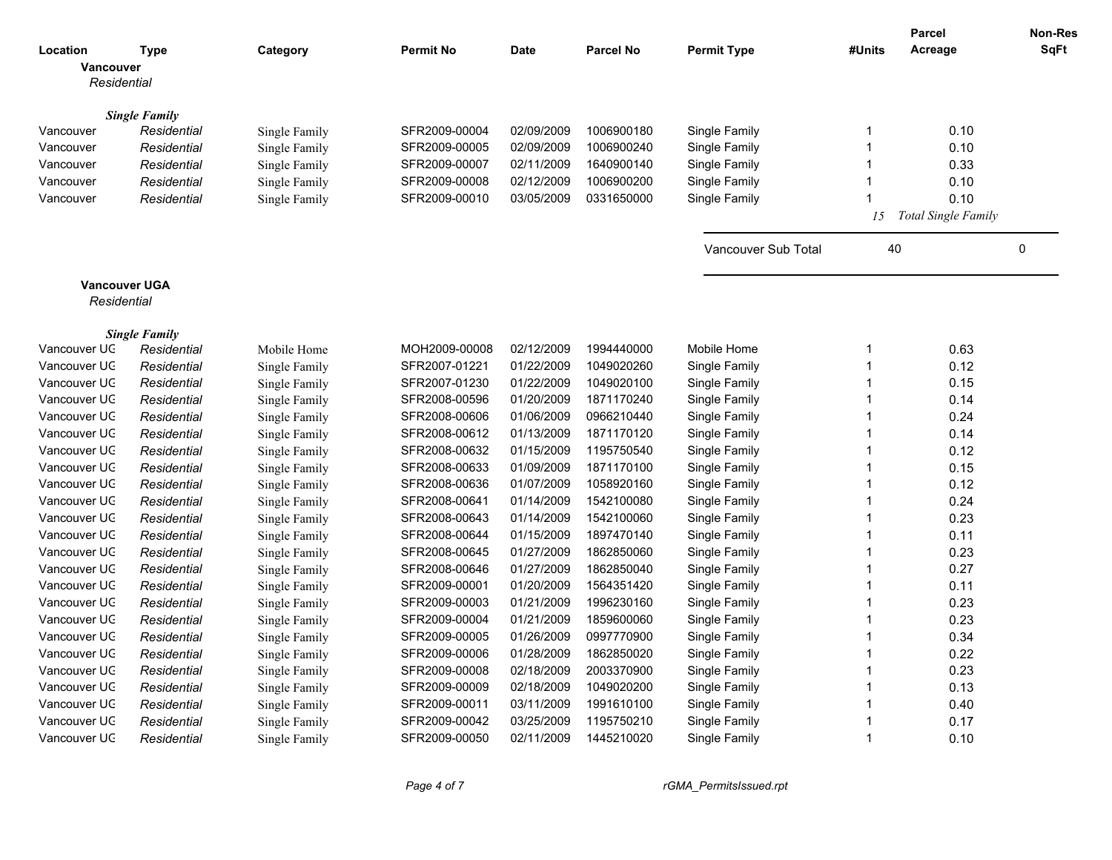|              |                                     |               |                  |             |                  |                     |                         | <b>Parcel</b>              | Non-Res     |
|--------------|-------------------------------------|---------------|------------------|-------------|------------------|---------------------|-------------------------|----------------------------|-------------|
| Location     | <b>Type</b>                         | Category      | <b>Permit No</b> | <b>Date</b> | <b>Parcel No</b> | <b>Permit Type</b>  | #Units                  | Acreage                    | <b>SqFt</b> |
| Vancouver    |                                     |               |                  |             |                  |                     |                         |                            |             |
| Residential  |                                     |               |                  |             |                  |                     |                         |                            |             |
|              |                                     |               |                  |             |                  |                     |                         |                            |             |
| Vancouver    | <b>Single Family</b><br>Residential | Single Family | SFR2009-00004    | 02/09/2009  | 1006900180       | Single Family       | -1                      | 0.10                       |             |
| Vancouver    | Residential                         | Single Family | SFR2009-00005    | 02/09/2009  | 1006900240       | Single Family       | -1                      | 0.10                       |             |
| Vancouver    | Residential                         | Single Family | SFR2009-00007    | 02/11/2009  | 1640900140       | Single Family       | $\overline{1}$          | 0.33                       |             |
| Vancouver    | Residential                         | Single Family | SFR2009-00008    | 02/12/2009  | 1006900200       | Single Family       | $\overline{1}$          | 0.10                       |             |
| Vancouver    | Residential                         | Single Family | SFR2009-00010    | 03/05/2009  | 0331650000       | Single Family       | $\overline{1}$          | 0.10                       |             |
|              |                                     |               |                  |             |                  |                     | 15                      | <b>Total Single Family</b> |             |
|              |                                     |               |                  |             |                  |                     |                         |                            |             |
|              |                                     |               |                  |             |                  | Vancouver Sub Total | 40                      |                            | $\pmb{0}$   |
|              |                                     |               |                  |             |                  |                     |                         |                            |             |
|              | <b>Vancouver UGA</b>                |               |                  |             |                  |                     |                         |                            |             |
| Residential  |                                     |               |                  |             |                  |                     |                         |                            |             |
|              |                                     |               |                  |             |                  |                     |                         |                            |             |
|              | <b>Single Family</b>                |               |                  |             |                  |                     |                         |                            |             |
| Vancouver UC | Residential                         | Mobile Home   | MOH2009-00008    | 02/12/2009  | 1994440000       | Mobile Home         | $\overline{1}$          | 0.63                       |             |
| Vancouver UC | Residential                         | Single Family | SFR2007-01221    | 01/22/2009  | 1049020260       | Single Family       | $\overline{1}$          | 0.12                       |             |
| Vancouver UC | Residential                         | Single Family | SFR2007-01230    | 01/22/2009  | 1049020100       | Single Family       | $\overline{1}$          | 0.15                       |             |
| Vancouver UC | Residential                         | Single Family | SFR2008-00596    | 01/20/2009  | 1871170240       | Single Family       | -1                      | 0.14                       |             |
| Vancouver UC | Residential                         | Single Family | SFR2008-00606    | 01/06/2009  | 0966210440       | Single Family       | $\overline{1}$          | 0.24                       |             |
| Vancouver UC | Residential                         | Single Family | SFR2008-00612    | 01/13/2009  | 1871170120       | Single Family       | $\overline{1}$          | 0.14                       |             |
| Vancouver UC | Residential                         | Single Family | SFR2008-00632    | 01/15/2009  | 1195750540       | Single Family       | $\overline{1}$          | 0.12                       |             |
| Vancouver UC | Residential                         | Single Family | SFR2008-00633    | 01/09/2009  | 1871170100       | Single Family       | -1                      | 0.15                       |             |
| Vancouver UC | Residential                         | Single Family | SFR2008-00636    | 01/07/2009  | 1058920160       | Single Family       | $\overline{\mathbf{1}}$ | 0.12                       |             |
| Vancouver UC | Residential                         | Single Family | SFR2008-00641    | 01/14/2009  | 1542100080       | Single Family       | $\overline{1}$          | 0.24                       |             |
| Vancouver UC | Residential                         | Single Family | SFR2008-00643    | 01/14/2009  | 1542100060       | Single Family       | $\overline{1}$          | 0.23                       |             |
| Vancouver UC | Residential                         | Single Family | SFR2008-00644    | 01/15/2009  | 1897470140       | Single Family       | $\overline{\mathbf{1}}$ | 0.11                       |             |
| Vancouver UC | Residential                         | Single Family | SFR2008-00645    | 01/27/2009  | 1862850060       | Single Family       | $\overline{1}$          | 0.23                       |             |
| Vancouver UC | Residential                         | Single Family | SFR2008-00646    | 01/27/2009  | 1862850040       | Single Family       | $\overline{\mathbf{1}}$ | 0.27                       |             |
| Vancouver UC | Residential                         | Single Family | SFR2009-00001    | 01/20/2009  | 1564351420       | Single Family       | $\overline{\mathbf{1}}$ | 0.11                       |             |
| Vancouver UC | Residential                         | Single Family | SFR2009-00003    | 01/21/2009  | 1996230160       | Single Family       | $\overline{1}$          | 0.23                       |             |
| Vancouver UC | Residential                         | Single Family | SFR2009-00004    | 01/21/2009  | 1859600060       | Single Family       | $\overline{1}$          | 0.23                       |             |
| Vancouver UC | Residential                         | Single Family | SFR2009-00005    | 01/26/2009  | 0997770900       | Single Family       | $\overline{1}$          | 0.34                       |             |
| Vancouver UC | Residential                         | Single Family | SFR2009-00006    | 01/28/2009  | 1862850020       | Single Family       | $\overline{1}$          | 0.22                       |             |
| Vancouver UC | Residential                         | Single Family | SFR2009-00008    | 02/18/2009  | 2003370900       | Single Family       | $\overline{1}$          | 0.23                       |             |
| Vancouver UC | Residential                         | Single Family | SFR2009-00009    | 02/18/2009  | 1049020200       | Single Family       | $\overline{1}$          | 0.13                       |             |
| Vancouver UC | Residential                         | Single Family | SFR2009-00011    | 03/11/2009  | 1991610100       | Single Family       | $\overline{1}$          | 0.40                       |             |
| Vancouver UC | Residential                         | Single Family | SFR2009-00042    | 03/25/2009  | 1195750210       | Single Family       | -1                      | 0.17                       |             |
| Vancouver UC | Residential                         | Single Family | SFR2009-00050    | 02/11/2009  | 1445210020       | Single Family       | 1                       | 0.10                       |             |
|              |                                     |               |                  |             |                  |                     |                         |                            |             |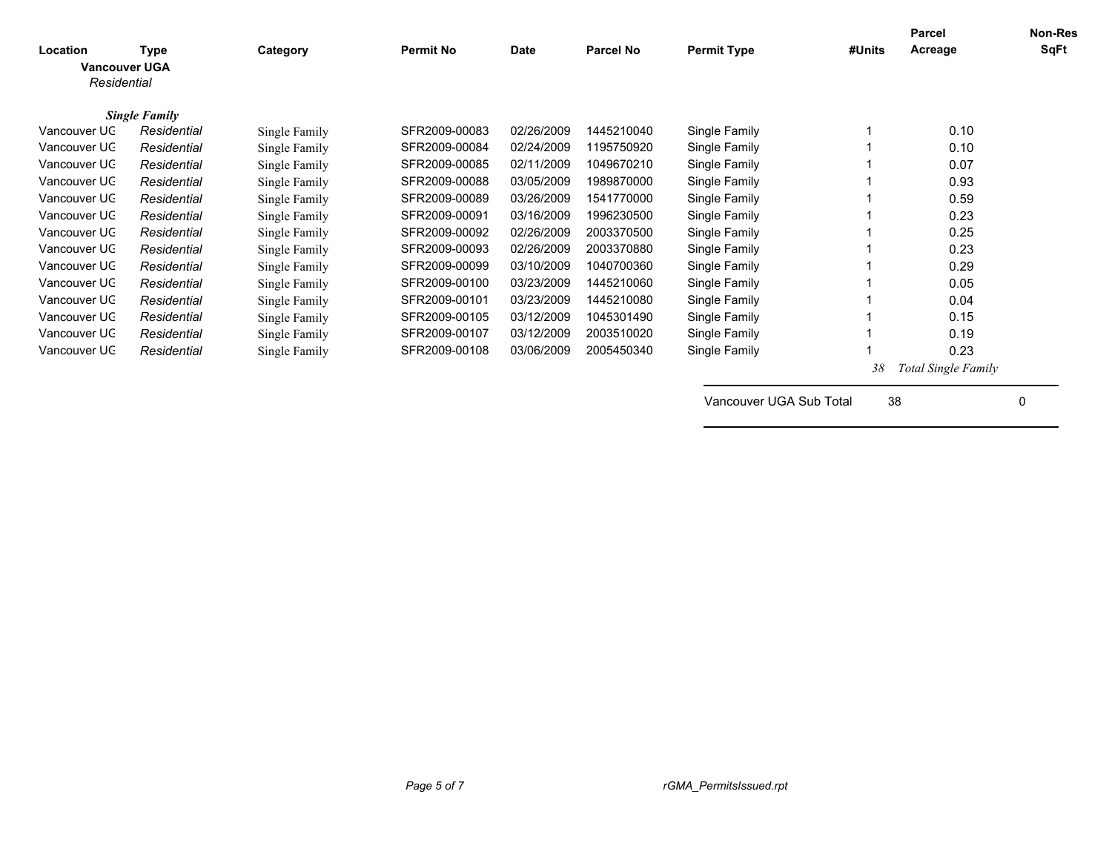| Location<br>Residential | <b>Type</b><br><b>Vancouver UGA</b> | Category      | <b>Permit No</b> | Date       | <b>Parcel No</b> | <b>Permit Type</b> | #Units | Parcel<br>Acreage   | <b>Non-Res</b><br>SqFt |
|-------------------------|-------------------------------------|---------------|------------------|------------|------------------|--------------------|--------|---------------------|------------------------|
|                         | <b>Single Family</b>                |               |                  |            |                  |                    |        |                     |                        |
| Vancouver UC            | Residential                         | Single Family | SFR2009-00083    | 02/26/2009 | 1445210040       | Single Family      |        | 0.10                |                        |
| Vancouver UC            | Residential                         | Single Family | SFR2009-00084    | 02/24/2009 | 1195750920       | Single Family      |        | 0.10                |                        |
| Vancouver UC            | Residential                         | Single Family | SFR2009-00085    | 02/11/2009 | 1049670210       | Single Family      |        | 0.07                |                        |
| Vancouver UC            | Residential                         | Single Family | SFR2009-00088    | 03/05/2009 | 1989870000       | Single Family      |        | 0.93                |                        |
| Vancouver UC            | Residential                         | Single Family | SFR2009-00089    | 03/26/2009 | 1541770000       | Single Family      |        | 0.59                |                        |
| Vancouver UC            | Residential                         | Single Family | SFR2009-00091    | 03/16/2009 | 1996230500       | Single Family      |        | 0.23                |                        |
| Vancouver UC            | Residential                         | Single Family | SFR2009-00092    | 02/26/2009 | 2003370500       | Single Family      |        | 0.25                |                        |
| Vancouver UC            | Residential                         | Single Family | SFR2009-00093    | 02/26/2009 | 2003370880       | Single Family      |        | 0.23                |                        |
| Vancouver UC            | Residential                         | Single Family | SFR2009-00099    | 03/10/2009 | 1040700360       | Single Family      |        | 0.29                |                        |
| Vancouver UC            | Residential                         | Single Family | SFR2009-00100    | 03/23/2009 | 1445210060       | Single Family      |        | 0.05                |                        |
| Vancouver UC            | Residential                         | Single Family | SFR2009-00101    | 03/23/2009 | 1445210080       | Single Family      |        | 0.04                |                        |
| Vancouver UC            | Residential                         | Single Family | SFR2009-00105    | 03/12/2009 | 1045301490       | Single Family      |        | 0.15                |                        |
| Vancouver UC            | Residential                         | Single Family | SFR2009-00107    | 03/12/2009 | 2003510020       | Single Family      |        | 0.19                |                        |
| Vancouver UC            | Residential                         | Single Family | SFR2009-00108    | 03/06/2009 | 2005450340       | Single Family      |        | 0.23                |                        |
|                         |                                     |               |                  |            |                  |                    | 38     | Total Single Family |                        |

Vancouver UGA Sub Total 38 0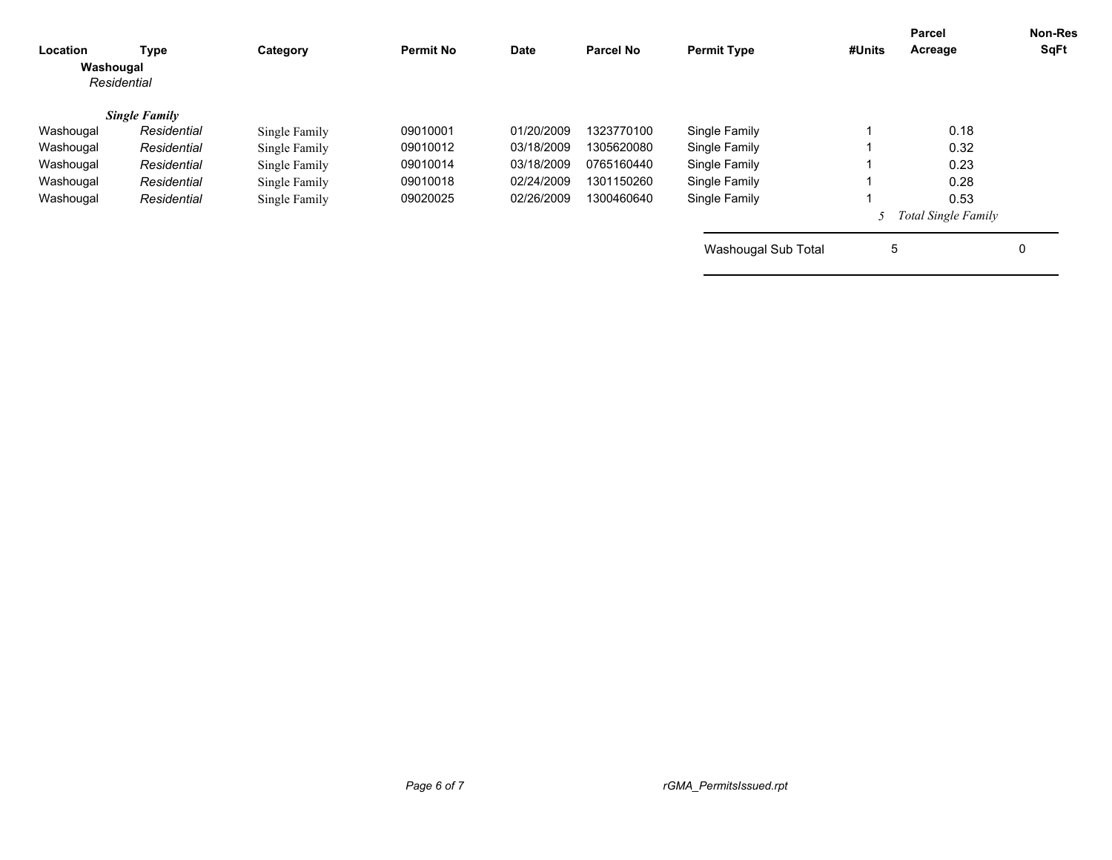| Location<br>Washougal | Type<br>Residential  | Category      | <b>Permit No</b> | <b>Date</b> | <b>Parcel No</b> | <b>Permit Type</b>  | #Units | Parcel<br>Acreage          | <b>Non-Res</b><br>SqFt |
|-----------------------|----------------------|---------------|------------------|-------------|------------------|---------------------|--------|----------------------------|------------------------|
|                       | <b>Single Family</b> |               |                  |             |                  |                     |        |                            |                        |
| Washougal             | Residential          | Single Family | 09010001         | 01/20/2009  | 1323770100       | Single Family       |        | 0.18                       |                        |
| Washougal             | Residential          | Single Family | 09010012         | 03/18/2009  | 1305620080       | Single Family       |        | 0.32                       |                        |
| Washougal             | Residential          | Single Family | 09010014         | 03/18/2009  | 0765160440       | Single Family       |        | 0.23                       |                        |
| Washougal             | Residential          | Single Family | 09010018         | 02/24/2009  | 1301150260       | Single Family       |        | 0.28                       |                        |
| Washougal             | Residential          | Single Family | 09020025         | 02/26/2009  | 1300460640       | Single Family       |        | 0.53                       |                        |
|                       |                      |               |                  |             |                  |                     |        | <b>Total Single Family</b> |                        |
|                       |                      |               |                  |             |                  | Washougal Sub Total | 5      |                            | $\mathbf 0$            |
|                       |                      |               |                  |             |                  |                     |        |                            |                        |